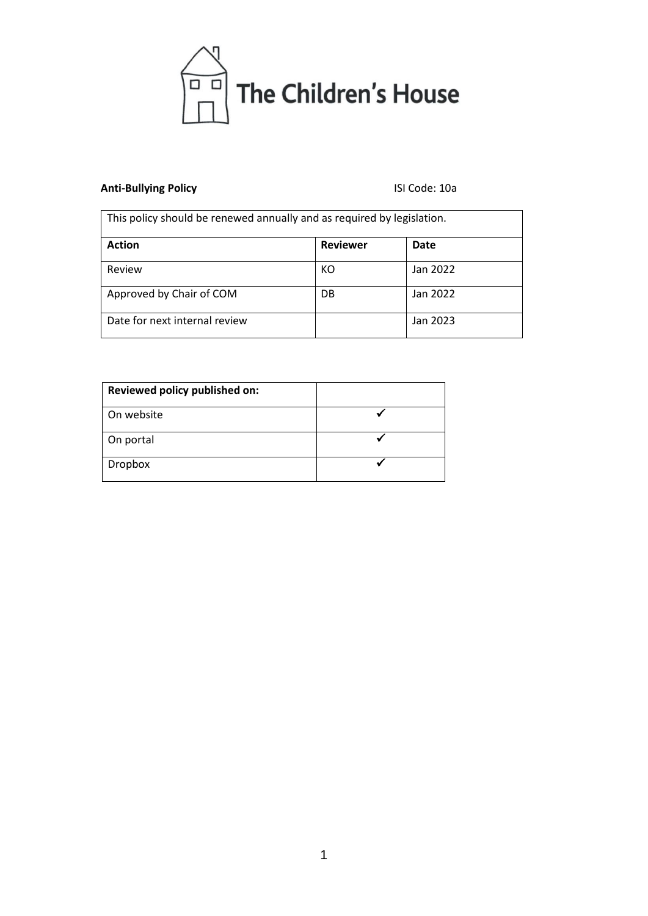

# **Anti-Bullying Policy** ISI Code: 10a

| This policy should be renewed annually and as required by legislation. |                 |          |
|------------------------------------------------------------------------|-----------------|----------|
| <b>Action</b>                                                          | <b>Reviewer</b> | Date     |
| Review                                                                 | КO              | Jan 2022 |
| Approved by Chair of COM                                               | DB              | Jan 2022 |
| Date for next internal review                                          |                 | Jan 2023 |

| Reviewed policy published on: |  |
|-------------------------------|--|
| On website                    |  |
| On portal                     |  |
| Dropbox                       |  |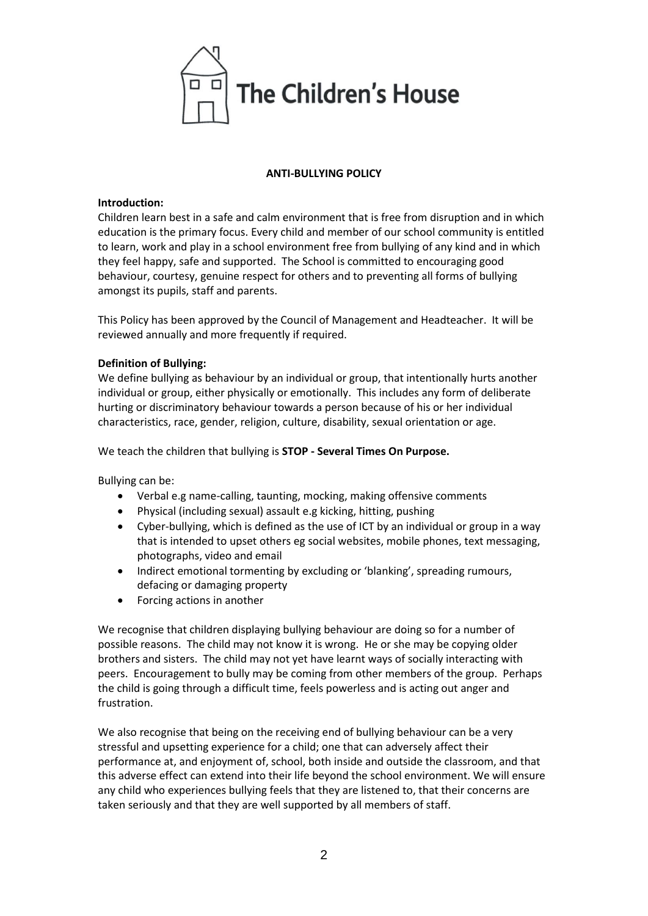

### **ANTI-BULLYING POLICY**

#### **Introduction:**

Children learn best in a safe and calm environment that is free from disruption and in which education is the primary focus. Every child and member of our school community is entitled to learn, work and play in a school environment free from bullying of any kind and in which they feel happy, safe and supported. The School is committed to encouraging good behaviour, courtesy, genuine respect for others and to preventing all forms of bullying amongst its pupils, staff and parents.

This Policy has been approved by the Council of Management and Headteacher. It will be reviewed annually and more frequently if required.

# **Definition of Bullying:**

We define bullying as behaviour by an individual or group, that intentionally hurts another individual or group, either physically or emotionally. This includes any form of deliberate hurting or discriminatory behaviour towards a person because of his or her individual characteristics, race, gender, religion, culture, disability, sexual orientation or age.

We teach the children that bullying is **STOP - Several Times On Purpose.**

Bullying can be:

- Verbal e.g name-calling, taunting, mocking, making offensive comments
- Physical (including sexual) assault e.g kicking, hitting, pushing
- Cyber-bullying, which is defined as the use of ICT by an individual or group in a way that is intended to upset others eg social websites, mobile phones, text messaging, photographs, video and email
- Indirect emotional tormenting by excluding or 'blanking', spreading rumours, defacing or damaging property
- Forcing actions in another

We recognise that children displaying bullying behaviour are doing so for a number of possible reasons. The child may not know it is wrong. He or she may be copying older brothers and sisters. The child may not yet have learnt ways of socially interacting with peers. Encouragement to bully may be coming from other members of the group. Perhaps the child is going through a difficult time, feels powerless and is acting out anger and frustration.

We also recognise that being on the receiving end of bullying behaviour can be a very stressful and upsetting experience for a child; one that can adversely affect their performance at, and enjoyment of, school, both inside and outside the classroom, and that this adverse effect can extend into their life beyond the school environment. We will ensure any child who experiences bullying feels that they are listened to, that their concerns are taken seriously and that they are well supported by all members of staff.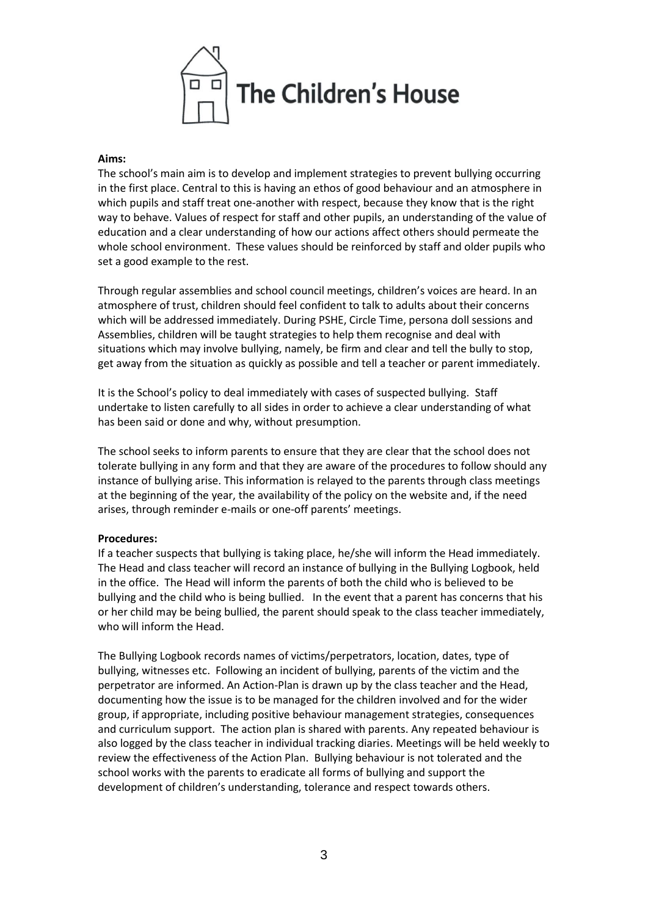

#### **Aims:**

The school's main aim is to develop and implement strategies to prevent bullying occurring in the first place. Central to this is having an ethos of good behaviour and an atmosphere in which pupils and staff treat one-another with respect, because they know that is the right way to behave. Values of respect for staff and other pupils, an understanding of the value of education and a clear understanding of how our actions affect others should permeate the whole school environment. These values should be reinforced by staff and older pupils who set a good example to the rest.

Through regular assemblies and school council meetings, children's voices are heard. In an atmosphere of trust, children should feel confident to talk to adults about their concerns which will be addressed immediately. During PSHE, Circle Time, persona doll sessions and Assemblies, children will be taught strategies to help them recognise and deal with situations which may involve bullying, namely, be firm and clear and tell the bully to stop, get away from the situation as quickly as possible and tell a teacher or parent immediately.

It is the School's policy to deal immediately with cases of suspected bullying. Staff undertake to listen carefully to all sides in order to achieve a clear understanding of what has been said or done and why, without presumption.

The school seeks to inform parents to ensure that they are clear that the school does not tolerate bullying in any form and that they are aware of the procedures to follow should any instance of bullying arise. This information is relayed to the parents through class meetings at the beginning of the year, the availability of the policy on the website and, if the need arises, through reminder e-mails or one-off parents' meetings.

#### **Procedures:**

If a teacher suspects that bullying is taking place, he/she will inform the Head immediately. The Head and class teacher will record an instance of bullying in the Bullying Logbook, held in the office. The Head will inform the parents of both the child who is believed to be bullying and the child who is being bullied. In the event that a parent has concerns that his or her child may be being bullied, the parent should speak to the class teacher immediately, who will inform the Head.

The Bullying Logbook records names of victims/perpetrators, location, dates, type of bullying, witnesses etc. Following an incident of bullying, parents of the victim and the perpetrator are informed. An Action-Plan is drawn up by the class teacher and the Head, documenting how the issue is to be managed for the children involved and for the wider group, if appropriate, including positive behaviour management strategies, consequences and curriculum support. The action plan is shared with parents. Any repeated behaviour is also logged by the class teacher in individual tracking diaries. Meetings will be held weekly to review the effectiveness of the Action Plan. Bullying behaviour is not tolerated and the school works with the parents to eradicate all forms of bullying and support the development of children's understanding, tolerance and respect towards others.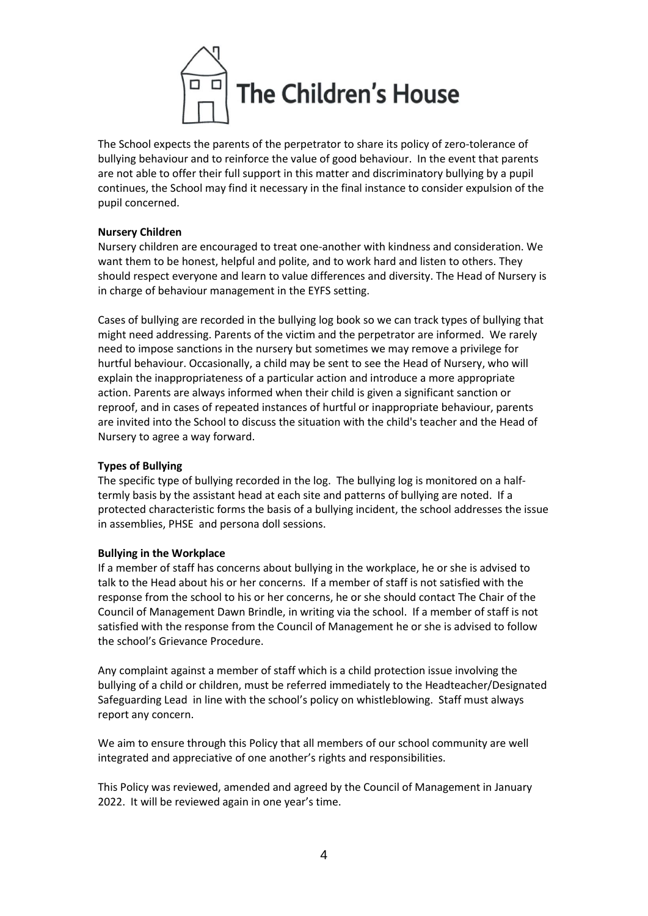

The School expects the parents of the perpetrator to share its policy of zero-tolerance of bullying behaviour and to reinforce the value of good behaviour. In the event that parents are not able to offer their full support in this matter and discriminatory bullying by a pupil continues, the School may find it necessary in the final instance to consider expulsion of the pupil concerned.

### **Nursery Children**

Nursery children are encouraged to treat one-another with kindness and consideration. We want them to be honest, helpful and polite, and to work hard and listen to others. They should respect everyone and learn to value differences and diversity. The Head of Nursery is in charge of behaviour management in the EYFS setting.

Cases of bullying are recorded in the bullying log book so we can track types of bullying that might need addressing. Parents of the victim and the perpetrator are informed. We rarely need to impose sanctions in the nursery but sometimes we may remove a privilege for hurtful behaviour. Occasionally, a child may be sent to see the Head of Nursery, who will explain the inappropriateness of a particular action and introduce a more appropriate action. Parents are always informed when their child is given a significant sanction or reproof, and in cases of repeated instances of hurtful or inappropriate behaviour, parents are invited into the School to discuss the situation with the child's teacher and the Head of Nursery to agree a way forward.

# **Types of Bullying**

The specific type of bullying recorded in the log. The bullying log is monitored on a halftermly basis by the assistant head at each site and patterns of bullying are noted. If a protected characteristic forms the basis of a bullying incident, the school addresses the issue in assemblies, PHSE and persona doll sessions.

# **Bullying in the Workplace**

If a member of staff has concerns about bullying in the workplace, he or she is advised to talk to the Head about his or her concerns. If a member of staff is not satisfied with the response from the school to his or her concerns, he or she should contact The Chair of the Council of Management Dawn Brindle, in writing via the school. If a member of staff is not satisfied with the response from the Council of Management he or she is advised to follow the school's Grievance Procedure.

Any complaint against a member of staff which is a child protection issue involving the bullying of a child or children, must be referred immediately to the Headteacher/Designated Safeguarding Lead in line with the school's policy on whistleblowing. Staff must always report any concern.

We aim to ensure through this Policy that all members of our school community are well integrated and appreciative of one another's rights and responsibilities.

This Policy was reviewed, amended and agreed by the Council of Management in January 2022. It will be reviewed again in one year's time.